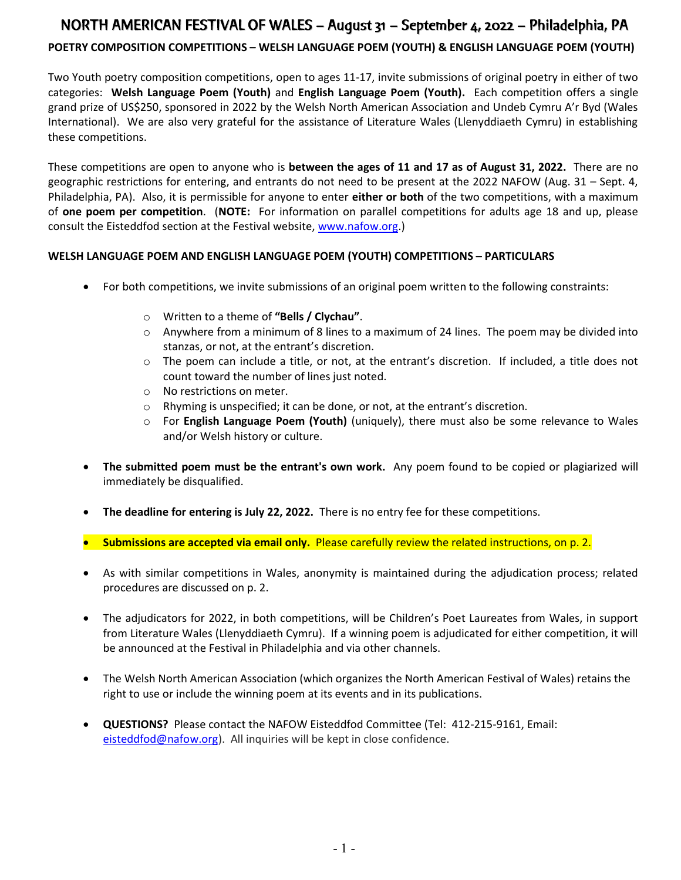# NORTH AMERICAN FESTIVAL OF WALES – August 31 – September 4, 2022 – Philadelphia, PA

### POETRY COMPOSITION COMPETITIONS – WELSH LANGUAGE POEM (YOUTH) & ENGLISH LANGUAGE POEM (YOUTH)

Two Youth poetry composition competitions, open to ages 11-17, invite submissions of original poetry in either of two categories: Welsh Language Poem (Youth) and English Language Poem (Youth). Each competition offers a single grand prize of US\$250, sponsored in 2022 by the Welsh North American Association and Undeb Cymru A'r Byd (Wales International). We are also very grateful for the assistance of Literature Wales (Llenyddiaeth Cymru) in establishing these competitions.

These competitions are open to anyone who is **between the ages of 11 and 17 as of August 31, 2022.** There are no geographic restrictions for entering, and entrants do not need to be present at the 2022 NAFOW (Aug. 31 – Sept. 4, Philadelphia, PA). Also, it is permissible for anyone to enter either or both of the two competitions, with a maximum of one poem per competition. (NOTE: For information on parallel competitions for adults age 18 and up, please consult the Eisteddfod section at the Festival website, www.nafow.org.)

#### WELSH LANGUAGE POEM AND ENGLISH LANGUAGE POEM (YOUTH) COMPETITIONS – PARTICULARS

- For both competitions, we invite submissions of an original poem written to the following constraints:
	- o Written to a theme of "Bells / Clychau".
	- $\circ$  Anywhere from a minimum of 8 lines to a maximum of 24 lines. The poem may be divided into stanzas, or not, at the entrant's discretion.
	- o The poem can include a title, or not, at the entrant's discretion. If included, a title does not count toward the number of lines just noted.
	- o No restrictions on meter.
	- o Rhyming is unspecified; it can be done, or not, at the entrant's discretion.
	- o For English Language Poem (Youth) (uniquely), there must also be some relevance to Wales and/or Welsh history or culture.
- The submitted poem must be the entrant's own work. Any poem found to be copied or plagiarized will immediately be disqualified.
- The deadline for entering is July 22, 2022. There is no entry fee for these competitions.
- **Submissions are accepted via email only.** Please carefully review the related instructions, on p. 2.
- As with similar competitions in Wales, anonymity is maintained during the adjudication process; related procedures are discussed on p. 2.
- The adjudicators for 2022, in both competitions, will be Children's Poet Laureates from Wales, in support from Literature Wales (Llenyddiaeth Cymru). If a winning poem is adjudicated for either competition, it will be announced at the Festival in Philadelphia and via other channels.
- The Welsh North American Association (which organizes the North American Festival of Wales) retains the right to use or include the winning poem at its events and in its publications.
- QUESTIONS? Please contact the NAFOW Eisteddfod Committee (Tel: 412-215-9161, Email: eisteddfod@nafow.org). All inquiries will be kept in close confidence.